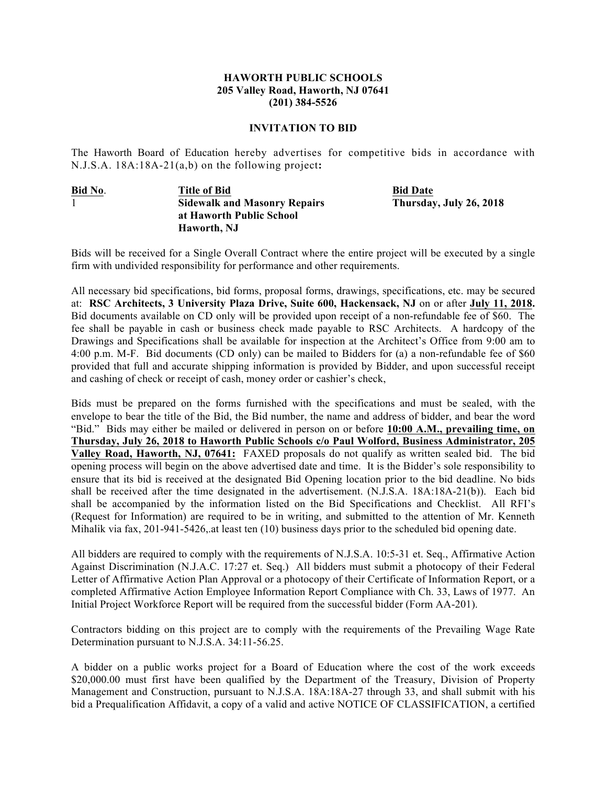## **HAWORTH PUBLIC SCHOOLS 205 Valley Road, Haworth, NJ 07641 (201) 384-5526**

## **INVITATION TO BID**

The Haworth Board of Education hereby advertises for competitive bids in accordance with N.J.S.A. 18A:18A-21(a,b) on the following project**:**

**Bid No**. **Title of Bid Bid Date** 1 **Sidewalk and Masonry Repairs Thursday, July 26, 2018 at Haworth Public School Haworth, NJ**

Bids will be received for a Single Overall Contract where the entire project will be executed by a single firm with undivided responsibility for performance and other requirements.

All necessary bid specifications, bid forms, proposal forms, drawings, specifications, etc. may be secured at: **RSC Architects, 3 University Plaza Drive, Suite 600, Hackensack, NJ** on or after **July 11, 2018.**  Bid documents available on CD only will be provided upon receipt of a non-refundable fee of \$60. The fee shall be payable in cash or business check made payable to RSC Architects. A hardcopy of the Drawings and Specifications shall be available for inspection at the Architect's Office from 9:00 am to 4:00 p.m. M-F. Bid documents (CD only) can be mailed to Bidders for (a) a non-refundable fee of \$60 provided that full and accurate shipping information is provided by Bidder, and upon successful receipt and cashing of check or receipt of cash, money order or cashier's check,

Bids must be prepared on the forms furnished with the specifications and must be sealed, with the envelope to bear the title of the Bid, the Bid number, the name and address of bidder, and bear the word "Bid." Bids may either be mailed or delivered in person on or before **10:00 A.M., prevailing time, on Thursday, July 26, 2018 to Haworth Public Schools c/o Paul Wolford, Business Administrator, 205 Valley Road, Haworth, NJ, 07641:** FAXED proposals do not qualify as written sealed bid. The bid opening process will begin on the above advertised date and time. It is the Bidder's sole responsibility to ensure that its bid is received at the designated Bid Opening location prior to the bid deadline. No bids shall be received after the time designated in the advertisement. (N.J.S.A. 18A:18A-21(b)). Each bid shall be accompanied by the information listed on the Bid Specifications and Checklist. All RFI's (Request for Information) are required to be in writing, and submitted to the attention of Mr. Kenneth Mihalik via fax, 201-941-5426,.at least ten (10) business days prior to the scheduled bid opening date.

All bidders are required to comply with the requirements of N.J.S.A. 10:5-31 et. Seq., Affirmative Action Against Discrimination (N.J.A.C. 17:27 et. Seq.) All bidders must submit a photocopy of their Federal Letter of Affirmative Action Plan Approval or a photocopy of their Certificate of Information Report, or a completed Affirmative Action Employee Information Report Compliance with Ch. 33, Laws of 1977. An Initial Project Workforce Report will be required from the successful bidder (Form AA-201).

Contractors bidding on this project are to comply with the requirements of the Prevailing Wage Rate Determination pursuant to N.J.S.A. 34:11-56.25.

A bidder on a public works project for a Board of Education where the cost of the work exceeds \$20,000.00 must first have been qualified by the Department of the Treasury, Division of Property Management and Construction, pursuant to N.J.S.A. 18A:18A-27 through 33, and shall submit with his bid a Prequalification Affidavit, a copy of a valid and active NOTICE OF CLASSIFICATION, a certified